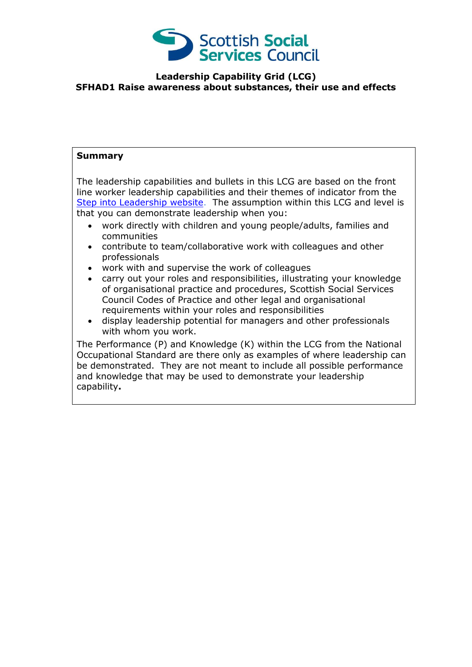

## **Leadership Capability Grid (LCG) SFHAD1 Raise awareness about substances, their use and effects**

## **Summary**

The leadership capabilities and bullets in this LCG are based on the front line worker leadership capabilities and their themes of indicator from the [Step into Leadership](http://www.stepintoleadership.info/) website. The assumption within this LCG and level is that you can demonstrate leadership when you:

- work directly with children and young people/adults, families and communities
- contribute to team/collaborative work with colleagues and other professionals
- work with and supervise the work of colleagues
- carry out your roles and responsibilities, illustrating your knowledge of organisational practice and procedures, Scottish Social Services Council Codes of Practice and other legal and organisational requirements within your roles and responsibilities
- display leadership potential for managers and other professionals with whom you work.

The Performance (P) and Knowledge (K) within the LCG from the National Occupational Standard are there only as examples of where leadership can be demonstrated. They are not meant to include all possible performance and knowledge that may be used to demonstrate your leadership capability**.**